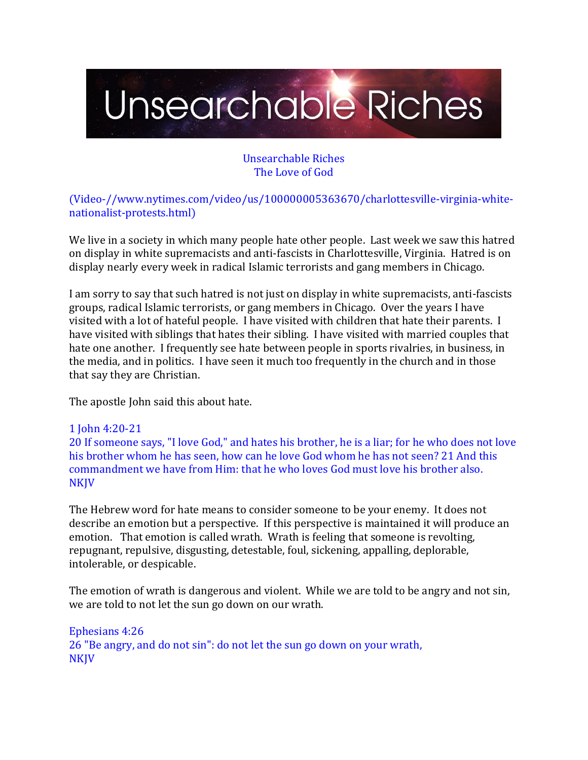

### Unsearchable Riches The Love of God

(Video-//www.nytimes.com/video/us/100000005363670/charlottesville-virginia-whitenationalist-protests.html)

We live in a society in which many people hate other people. Last week we saw this hatred on display in white supremacists and anti-fascists in Charlottesville, Virginia. Hatred is on display nearly every week in radical Islamic terrorists and gang members in Chicago.

I am sorry to say that such hatred is not just on display in white supremacists, anti-fascists groups, radical Islamic terrorists, or gang members in Chicago. Over the years I have visited with a lot of hateful people. I have visited with children that hate their parents. I have visited with siblings that hates their sibling. I have visited with married couples that hate one another. I frequently see hate between people in sports rivalries, in business, in the media, and in politics. I have seen it much too frequently in the church and in those that say they are Christian.

The apostle John said this about hate.

#### 1 John 4:20-21

20 If someone says, "I love God," and hates his brother, he is a liar; for he who does not love his brother whom he has seen, how can he love God whom he has not seen? 21 And this commandment we have from Him: that he who loves God must love his brother also. **NKJV** 

The Hebrew word for hate means to consider someone to be your enemy. It does not describe an emotion but a perspective. If this perspective is maintained it will produce an emotion. That emotion is called wrath. Wrath is feeling that someone is revolting, repugnant, repulsive, disgusting, detestable, foul, sickening, appalling, deplorable, intolerable, or despicable.

The emotion of wrath is dangerous and violent. While we are told to be angry and not sin, we are told to not let the sun go down on our wrath.

Ephesians 4:26 26 "Be angry, and do not sin": do not let the sun go down on your wrath, NKJV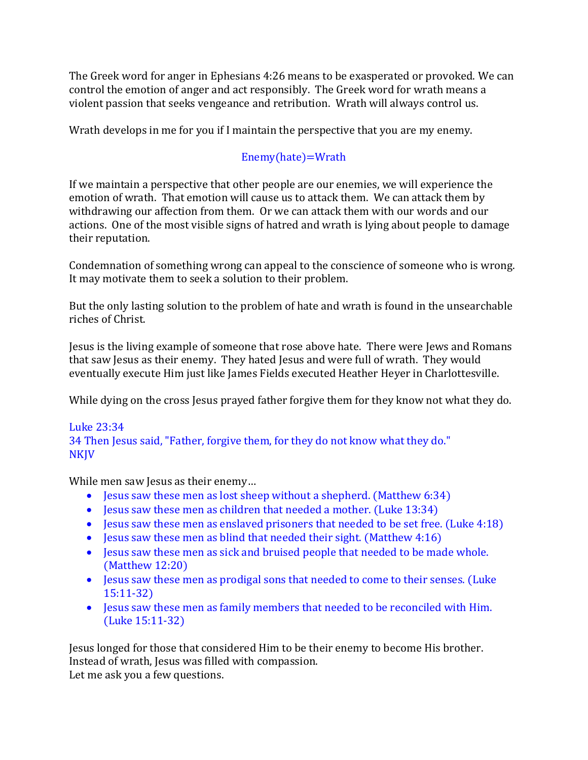The Greek word for anger in Ephesians 4:26 means to be exasperated or provoked. We can control the emotion of anger and act responsibly. The Greek word for wrath means a violent passion that seeks vengeance and retribution. Wrath will always control us.

Wrath develops in me for you if I maintain the perspective that you are my enemy.

# Enemy(hate)=Wrath

If we maintain a perspective that other people are our enemies, we will experience the emotion of wrath. That emotion will cause us to attack them. We can attack them by withdrawing our affection from them. Or we can attack them with our words and our actions. One of the most visible signs of hatred and wrath is lying about people to damage their reputation.

Condemnation of something wrong can appeal to the conscience of someone who is wrong. It may motivate them to seek a solution to their problem.

But the only lasting solution to the problem of hate and wrath is found in the unsearchable riches of Christ.

Jesus is the living example of someone that rose above hate. There were Jews and Romans that saw Jesus as their enemy. They hated Jesus and were full of wrath. They would eventually execute Him just like James Fields executed Heather Heyer in Charlottesville.

While dying on the cross Jesus prayed father forgive them for they know not what they do.

### Luke 23:34 34 Then Jesus said, "Father, forgive them, for they do not know what they do." NKJV

While men saw Jesus as their enemy…

- Jesus saw these men as lost sheep without a shepherd. (Matthew 6:34)
- Jesus saw these men as children that needed a mother. (Luke 13:34)
- Jesus saw these men as enslaved prisoners that needed to be set free. (Luke 4:18)
- Jesus saw these men as blind that needed their sight. (Matthew 4:16)
- Jesus saw these men as sick and bruised people that needed to be made whole. (Matthew 12:20)
- Jesus saw these men as prodigal sons that needed to come to their senses. (Luke 15:11-32)
- Jesus saw these men as family members that needed to be reconciled with Him. (Luke 15:11-32)

Jesus longed for those that considered Him to be their enemy to become His brother. Instead of wrath, Jesus was filled with compassion. Let me ask you a few questions.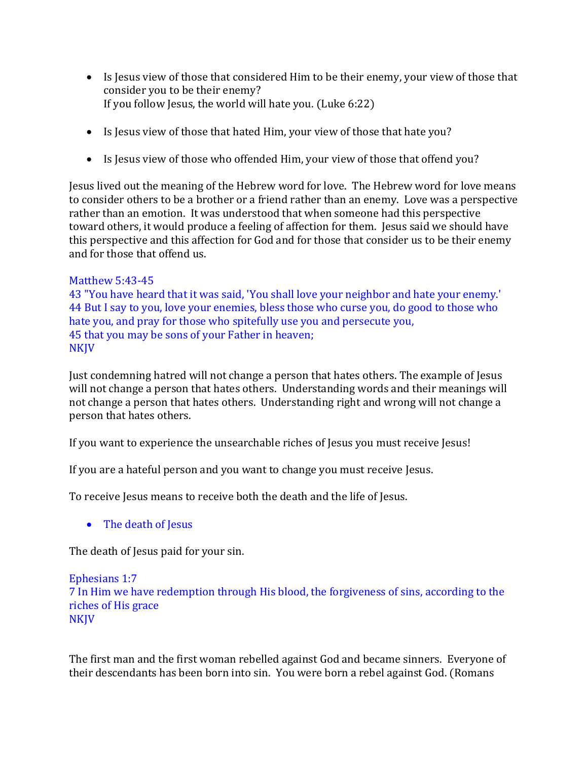- Is Jesus view of those that considered Him to be their enemy, your view of those that consider you to be their enemy? If you follow Jesus, the world will hate you. (Luke 6:22)
- Is Jesus view of those that hated Him, your view of those that hate you?
- Is Jesus view of those who offended Him, your view of those that offend you?

Jesus lived out the meaning of the Hebrew word for love. The Hebrew word for love means to consider others to be a brother or a friend rather than an enemy. Love was a perspective rather than an emotion. It was understood that when someone had this perspective toward others, it would produce a feeling of affection for them. Jesus said we should have this perspective and this affection for God and for those that consider us to be their enemy and for those that offend us.

#### Matthew 5:43-45

43 "You have heard that it was said, 'You shall love your neighbor and hate your enemy.' 44 But I say to you, love your enemies, bless those who curse you, do good to those who hate you, and pray for those who spitefully use you and persecute you, 45 that you may be sons of your Father in heaven; NKJV

Just condemning hatred will not change a person that hates others. The example of Jesus will not change a person that hates others. Understanding words and their meanings will not change a person that hates others. Understanding right and wrong will not change a person that hates others.

If you want to experience the unsearchable riches of Jesus you must receive Jesus!

If you are a hateful person and you want to change you must receive Jesus.

To receive Jesus means to receive both the death and the life of Jesus.

• The death of Jesus

The death of Jesus paid for your sin.

#### Ephesians 1:7 7 In Him we have redemption through His blood, the forgiveness of sins, according to the riches of His grace **NKJV**

The first man and the first woman rebelled against God and became sinners. Everyone of their descendants has been born into sin. You were born a rebel against God. (Romans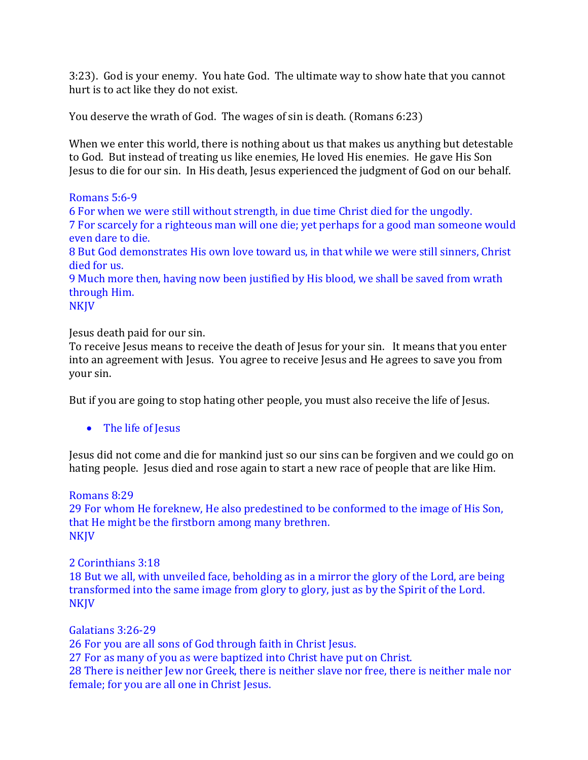3:23). God is your enemy. You hate God. The ultimate way to show hate that you cannot hurt is to act like they do not exist.

You deserve the wrath of God. The wages of sin is death. (Romans 6:23)

When we enter this world, there is nothing about us that makes us anything but detestable to God. But instead of treating us like enemies, He loved His enemies. He gave His Son Jesus to die for our sin. In His death, Jesus experienced the judgment of God on our behalf.

Romans 5:6-9

6 For when we were still without strength, in due time Christ died for the ungodly. 7 For scarcely for a righteous man will one die; yet perhaps for a good man someone would even dare to die. 8 But God demonstrates His own love toward us, in that while we were still sinners, Christ

died for us.

9 Much more then, having now been justified by His blood, we shall be saved from wrath through Him.

NKJV

Jesus death paid for our sin.

To receive Jesus means to receive the death of Jesus for your sin. It means that you enter into an agreement with Jesus. You agree to receive Jesus and He agrees to save you from your sin.

But if you are going to stop hating other people, you must also receive the life of Jesus.

• The life of Jesus

Jesus did not come and die for mankind just so our sins can be forgiven and we could go on hating people. Jesus died and rose again to start a new race of people that are like Him.

Romans 8:29

29 For whom He foreknew, He also predestined to be conformed to the image of His Son, that He might be the firstborn among many brethren. NKJV

#### 2 Corinthians 3:18

18 But we all, with unveiled face, beholding as in a mirror the glory of the Lord, are being transformed into the same image from glory to glory, just as by the Spirit of the Lord. NKJV

Galatians 3:26-29 26 For you are all sons of God through faith in Christ Jesus. 27 For as many of you as were baptized into Christ have put on Christ. 28 There is neither Jew nor Greek, there is neither slave nor free, there is neither male nor female; for you are all one in Christ Jesus.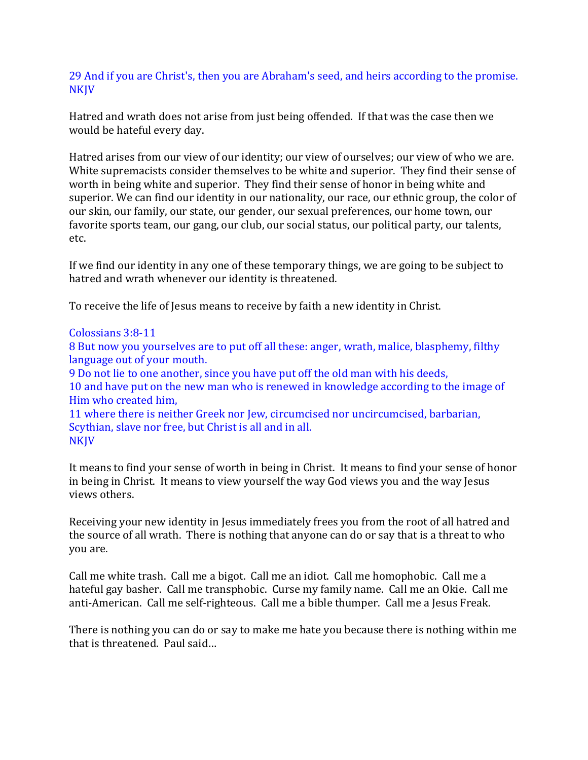29 And if you are Christ's, then you are Abraham's seed, and heirs according to the promise. NKJV

Hatred and wrath does not arise from just being offended. If that was the case then we would be hateful every day.

Hatred arises from our view of our identity; our view of ourselves; our view of who we are. White supremacists consider themselves to be white and superior. They find their sense of worth in being white and superior. They find their sense of honor in being white and superior. We can find our identity in our nationality, our race, our ethnic group, the color of our skin, our family, our state, our gender, our sexual preferences, our home town, our favorite sports team, our gang, our club, our social status, our political party, our talents, etc.

If we find our identity in any one of these temporary things, we are going to be subject to hatred and wrath whenever our identity is threatened.

To receive the life of Jesus means to receive by faith a new identity in Christ.

#### Colossians 3:8-11

8 But now you yourselves are to put off all these: anger, wrath, malice, blasphemy, filthy language out of your mouth.

9 Do not lie to one another, since you have put off the old man with his deeds,

10 and have put on the new man who is renewed in knowledge according to the image of Him who created him,

11 where there is neither Greek nor Jew, circumcised nor uncircumcised, barbarian, Scythian, slave nor free, but Christ is all and in all. NKJV

It means to find your sense of worth in being in Christ. It means to find your sense of honor in being in Christ. It means to view yourself the way God views you and the way Jesus views others.

Receiving your new identity in Jesus immediately frees you from the root of all hatred and the source of all wrath. There is nothing that anyone can do or say that is a threat to who you are.

Call me white trash. Call me a bigot. Call me an idiot. Call me homophobic. Call me a hateful gay basher. Call me transphobic. Curse my family name. Call me an Okie. Call me anti-American. Call me self-righteous. Call me a bible thumper. Call me a Jesus Freak.

There is nothing you can do or say to make me hate you because there is nothing within me that is threatened. Paul said…